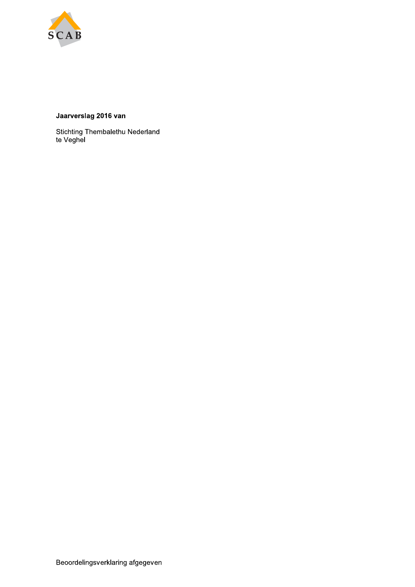

## Jaarverslag 2016 van

Stichting Thembalethu Nederland<br>te Veghel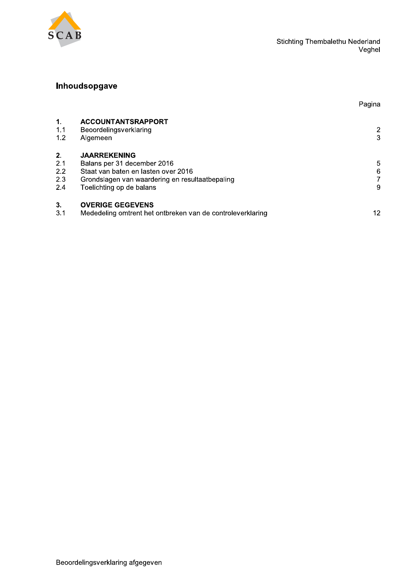

Pagina

# Inhoudsopgave

| $\mathbf{1}$ .<br>1.1<br>1.2   | <b>ACCOUNTANTSRAPPORT</b><br>Beoordelingsverklaring<br>Algemeen                                                                                                          | 2<br>3      |
|--------------------------------|--------------------------------------------------------------------------------------------------------------------------------------------------------------------------|-------------|
| 2.<br>2.1<br>2.2<br>2.3<br>2.4 | <b>JAARREKENING</b><br>Balans per 31 december 2016<br>Staat van baten en lasten over 2016<br>Grondslagen van waardering en resultaatbepaling<br>Toelichting op de balans | 5<br>6<br>9 |
| 3.<br>3.1                      | <b>OVERIGE GEGEVENS</b><br>Mededeling omtrent het ontbreken van de controleverklaring                                                                                    | 12          |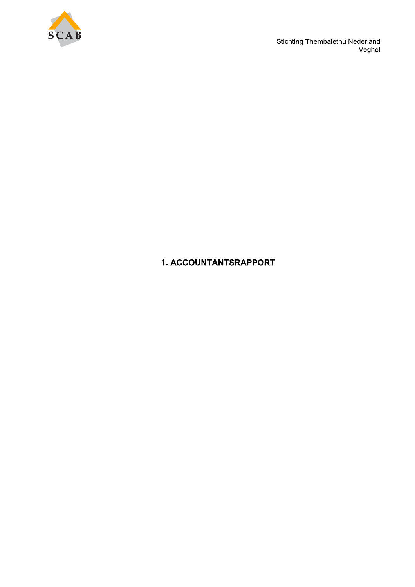

Stichting Thembalethu Nederland<br>Veghel

# 1. ACCOUNTANTSRAPPORT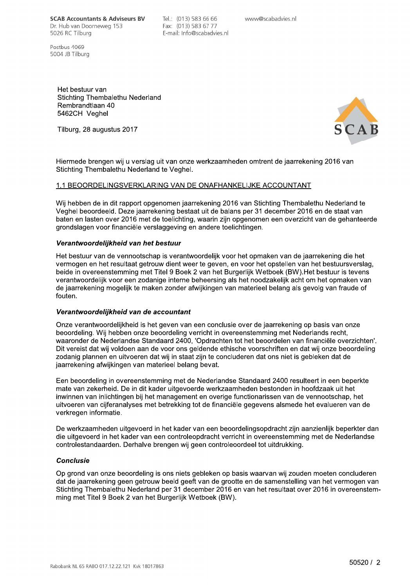**SCAB Accountants & Adviseurs BV** Dr. Hub van Doorneweg 153 5026 RC Tilburg

Postbus 1069 5004 JB Tilburg Tel.: (013) 583 66 66 Fax: (013) 583 67 77 E-mail: Info@scabadvies.nl www@scabadvies.nl

Het bestuur van Stichting Thembalethu Nederland Rembrandtlaan 40 5462CH Veahel

Tilburg, 28 augustus 2017



Hiermede brengen wij u verslag uit van onze werkzaamheden omtrent de jaarrekening 2016 van Stichting Thembalethu Nederland te Veghel.

### 1.1 BEOORDELINGSVERKLARING VAN DE ONAFHANKELIJKE ACCOUNTANT

Wij hebben de in dit rapport opgenomen jaarrekening 2016 van Stichting Thembalethu Nederland te Veghel beoordeeld. Deze jaarrekening bestaat uit de balans per 31 december 2016 en de staat van baten en lasten over 2016 met de toelichting, waarin zijn opgenomen een overzicht van de gehanteerde grondslagen voor financiële verslaggeving en andere toelichtingen.

#### Verantwoordelijkheid van het bestuur

Het bestuur van de vennootschap is verantwoordelijk voor het opmaken van de jaarrekening die het vermogen en het resultaat getrouw dient weer te geven, en voor het opstellen van het bestuursverslag. beide in overeenstemming met Titel 9 Boek 2 van het Burgerlijk Wetboek (BW). Het bestuur is tevens verantwoordelijk voor een zodanige interne beheersing als het noodzakelijk acht om het opmaken van de jaarrekening mogelijk te maken zonder afwijkingen van materieel belang als gevolg van fraude of fouten.

#### Verantwoordelijkheid van de accountant

Onze verantwoordelijkheid is het geven van een conclusie over de jaarrekening op basis van onze beoordeling. Wij hebben onze beoordeling verricht in overeenstemming met Nederlands recht, waaronder de Nederlandse Standaard 2400, 'Opdrachten tot het beoordelen van financiële overzichten'. Dit vereist dat wij voldoen aan de voor ons geldende ethische voorschriften en dat wij onze beoordeling zodanig plannen en uitvoeren dat wij in staat zijn te concluderen dat ons niet is gebleken dat de jaarrekening afwijkingen van materieel belang bevat.

Een beoordeling in overeenstemming met de Nederlandse Standaard 2400 resulteert in een beperkte mate van zekerheid. De in dit kader uitgevoerde werkzaamheden bestonden in hoofdzaak uit het inwinnen van inlichtingen bij het management en overige functionarissen van de vennootschap, het uitvoeren van cijferanalyses met betrekking tot de financiële gegevens alsmede het evalueren van de verkregen informatie.

De werkzaamheden uitgevoerd in het kader van een beoordelingsopdracht zijn aanzienlijk beperkter dan die uitgevoerd in het kader van een controleopdracht verricht in overeenstemming met de Nederlandse controlestandaarden. Derhalve brengen wij geen controleoordeel tot uitdrukking.

#### **Conclusie**

Op grond van onze beoordeling is ons niets gebleken op basis waarvan wij zouden moeten concluderen dat de jaarrekening geen getrouw beeld geeft van de grootte en de samenstelling van het vermogen van Stichting Thembalethu Nederland per 31 december 2016 en van het resultaat over 2016 in overeenstemming met Titel 9 Boek 2 van het Burgerlijk Wetboek (BW).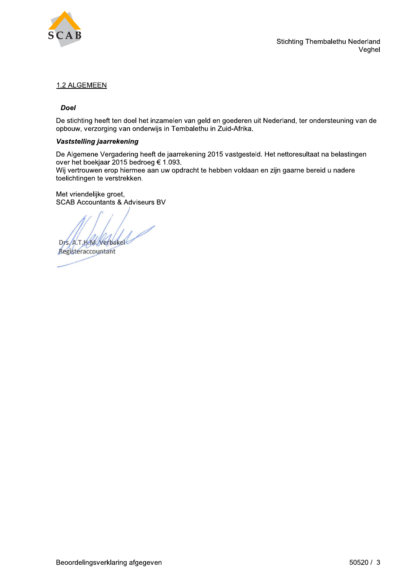

### 1.2 ALGEMEEN

#### **Doel**

De stichting heeft ten doel het inzamelen van geld en goederen uit Nederland, ter ondersteuning van de opbouw, verzorging van onderwijs in Tembalethu in Zuid-Afrika.

#### Vaststelling jaarrekening

De Algemene Vergadering heeft de jaarrekening 2015 vastgesteld. Het nettoresultaat na belastingen over het boekjaar 2015 bedroeg € 1.093.

Wij vertrouwen erop hiermee aan uw opdracht te hebben voldaan en zijn gaarne bereid u nadere toelichtingen te verstrekken.

Met vriendelijke groet, **SCAB Accountants & Adviseurs BV** 

Dys, A.T.HAM, Netbakel

Registeraccountant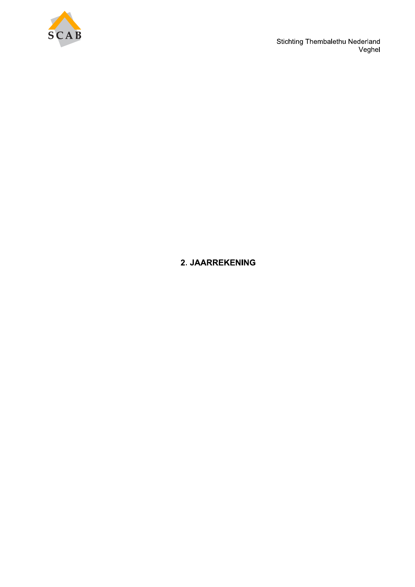

Stichting Thembalethu Nederland<br>Veghel

# 2. JAARREKENING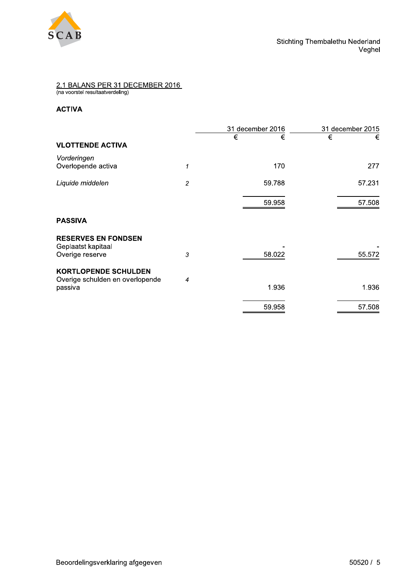

# 2.1 BALANS PER 31 DECEMBER 2016<br>(na voorstel resultaatverdeling)

### **ACTIVA**

|                                                                           |                | 31 december 2016 | 31 december 2015 |
|---------------------------------------------------------------------------|----------------|------------------|------------------|
| <b>VLOTTENDE ACTIVA</b>                                                   |                | €<br>€           | €<br>€           |
| Vorderingen<br>Overlopende activa                                         | 1              | 170              | 277              |
| Liquide middelen                                                          | $\overline{c}$ | 59.788           | 57.231           |
|                                                                           |                | 59.958           | 57.508           |
| <b>PASSIVA</b>                                                            |                |                  |                  |
| <b>RESERVES EN FONDSEN</b><br>Geplaatst kapitaal<br>Overige reserve       | $\sqrt{3}$     | 58.022           | 55.572           |
| <b>KORTLOPENDE SCHULDEN</b><br>Overige schulden en overlopende<br>passiva | 4              | 1.936            | 1.936            |
|                                                                           |                | 59.958           | 57.508           |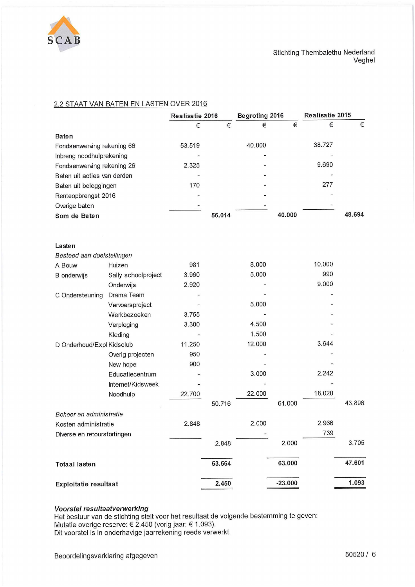

Stichting Thembalethu Nederland Veghel

### 2.2 STAAT VAN BATEN EN LASTEN OVER 2016

|                             |                     | Realisatie 2016 | <b>Begroting 2016</b> |        |           | Realisatie 2015 |        |
|-----------------------------|---------------------|-----------------|-----------------------|--------|-----------|-----------------|--------|
|                             |                     | €               | €                     | €      | €         | €               | $\in$  |
| <b>Baten</b>                |                     |                 |                       |        |           |                 |        |
| Fondsenwerving rekening 66  |                     | 53.519          |                       | 40.000 |           | 38.727          |        |
| Inbreng noodhulprekening    |                     |                 |                       |        |           |                 |        |
| Fondsenwerving rekening 26  |                     | 2.325           |                       |        |           | 9.690           |        |
| Baten uit acties van derden |                     |                 |                       |        |           |                 |        |
| Baten uit beleggingen       |                     | 170             |                       |        |           | 277             |        |
| Renteopbrengst 2016         |                     |                 |                       |        |           |                 |        |
| Overige baten               |                     |                 |                       |        |           |                 |        |
| Som de Baten                |                     |                 | 56.014                |        | 40.000    |                 | 48.694 |
|                             |                     |                 |                       |        |           |                 |        |
| Lasten                      |                     |                 |                       |        |           |                 |        |
| Besteed aan doelstellingen  |                     |                 |                       |        |           |                 |        |
| A Bouw                      | Huizen              | 981             |                       | 8.000  |           | 10.000          |        |
| <b>B</b> onderwijs          | Sally schoolproject | 3.960           |                       | 5.000  |           | 990             |        |
|                             | Onderwijs           | 2.920           |                       |        |           | 9.000           |        |
| C Ondersteuning             | Drama Team          |                 |                       |        |           |                 |        |
|                             | Vervoersproject     |                 |                       | 5.000  |           |                 |        |
|                             | Werkbezoeken        | 3.755           |                       |        |           |                 |        |
|                             | Verpleging          | 3.300           |                       | 4.500  |           |                 |        |
|                             | Kleding             |                 |                       | 1.500  |           |                 |        |
| D Onderhoud/Expl Kidsclub   |                     | 11.250          |                       | 12.000 |           | 3.644           |        |
|                             | Overig projecten    | 950             |                       |        |           |                 |        |
|                             | New hope            | 900             |                       |        |           |                 |        |
|                             | Educatiecentrum     |                 |                       | 3.000  |           | 2.242           |        |
|                             | Internet/Kidsweek   |                 |                       |        |           |                 |        |
|                             | Noodhulp            | 22.700          |                       | 22.000 |           | 18.020          |        |
|                             |                     |                 | 50.716                |        | 61.000    |                 | 43.896 |
| Beheer en administratie     |                     |                 |                       |        |           |                 |        |
| Kosten administratie        |                     | 2.848           |                       | 2.000  |           | 2.966           |        |
| Diverse en retourstortingen |                     |                 |                       |        |           | 739             |        |
|                             |                     |                 | 2.848                 |        | 2.000     |                 | 3.705  |
| <b>Totaal lasten</b>        |                     |                 | 53.564                |        | 63.000    |                 | 47.601 |
| Exploitatie resultaat       |                     |                 | 2.450                 |        | $-23.000$ |                 | 1.093  |

Voorstel resultaatverwerking<br>Het bestuur van de stichting stelt voor het resultaat de volgende bestemming te geven:<br>Mutatie overige reserve: € 2.450 (vorig jaar: € 1.093).<br>Dit voorstel is in onderhavige jaarrekening reed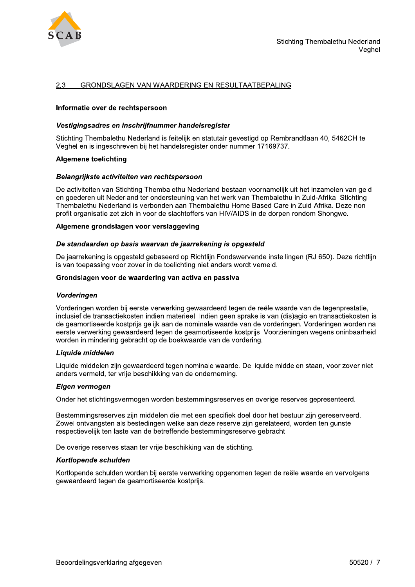

#### 2.3 GRONDSLAGEN VAN WAARDERING EN RESULTAATBEPALING

#### Informatie over de rechtspersoon

#### Vestigingsadres en inschrijfnummer handelsregister

Stichting Thembalethu Nederland is feitelijk en statutair gevestigd op Rembrandtlaan 40, 5462CH te Veghel en is ingeschreven bij het handelsregister onder nummer 17169737.

#### **Algemene toelichting**

#### Belangrijkste activiteiten van rechtspersoon

De activiteiten van Stichting Thembalethu Nederland bestaan voornamelijk uit het inzamelen van geld en goederen uit Nederland ter ondersteuning van het werk van Thembalethu in Zuid-Afrika. Stichting Thembalethu Nederland is verbonden aan Thembalethu Home Based Care in Zuid-Afrika. Deze nonprofit organisatie zet zich in voor de slachtoffers van HIV/AIDS in de dorpen rondom Shongwe.

#### Algemene grondslagen voor verslaggeving

#### De standaarden op basis waarvan de jaarrekening is opgesteld

De jaarrekening is opgesteld gebaseerd op Richtlijn Fondswervende instellingen (RJ 650). Deze richtlijn is van toepassing voor zover in de toelichting niet anders wordt vemeld.

#### Grondslagen voor de waardering van activa en passiva

#### **Vorderingen**

Vorderingen worden bij eerste verwerking gewaardeerd tegen de reële waarde van de tegenprestatie, inclusief de transactiekosten indien materieel. Indien geen sprake is van (dis)agio en transactiekosten is de geamortiseerde kostprijs gelijk aan de nominale waarde van de vorderingen. Vorderingen worden na eerste verwerking gewaardeerd tegen de geamortiseerde kostprijs. Voorzieningen wegens oninbaarheid worden in mindering gebracht op de boekwaarde van de vordering.

#### Liquide middelen

Liquide middelen zijn gewaardeerd tegen nominale waarde. De liquide middelen staan, voor zover niet anders vermeld, ter vrije beschikking van de onderneming.

#### Eigen vermogen

Onder het stichtingsvermogen worden bestemmingsreserves en overige reserves gepresenteerd.

Bestemmingsreserves zijn middelen die met een specifiek doel door het bestuur zijn gereserveerd. Zowel ontvangsten als bestedingen welke aan deze reserve zijn gerelateerd, worden ten gunste respectievelijk ten laste van de betreffende bestemmingsreserve gebracht.

De overige reserves staan ter vrije beschikking van de stichting.

#### Kortlopende schulden

Kortlopende schulden worden bij eerste verwerking opgenomen tegen de reële waarde en vervolgens gewaardeerd tegen de geamortiseerde kostprijs.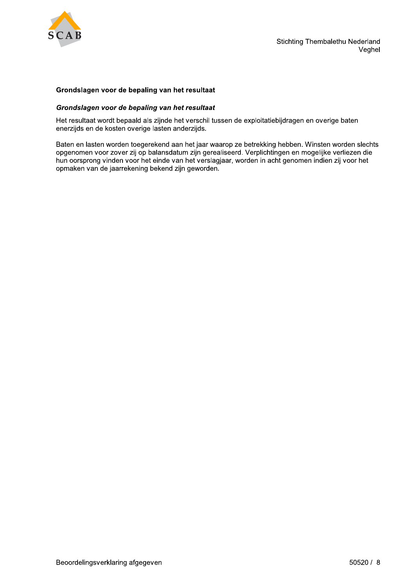

#### Grondslagen voor de bepaling van het resultaat

#### Grondslagen voor de bepaling van het resultaat

Het resultaat wordt bepaald als zijnde het verschil tussen de exploitatiebijdragen en overige baten enerzijds en de kosten overige lasten anderzijds.

Baten en lasten worden toegerekend aan het jaar waarop ze betrekking hebben. Winsten worden slechts opgenomen voor zover zij op balansdatum zijn gerealiseerd. Verplichtingen en mogelijke verliezen die hun oorsprong vinden voor het einde van het verslagjaar, worden in acht genomen indien zij voor het opmaken van de jaarrekening bekend zijn geworden.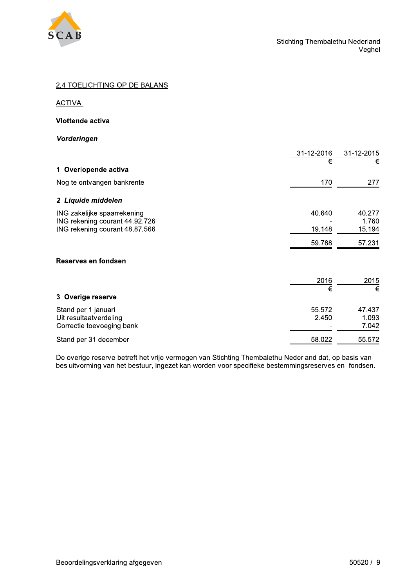

| 2.4 TOELICHTING OP DE BALANS                                                                    |                         |                               |
|-------------------------------------------------------------------------------------------------|-------------------------|-------------------------------|
| <b>ACTIVA</b>                                                                                   |                         |                               |
| Vlottende activa                                                                                |                         |                               |
| Vorderingen                                                                                     |                         |                               |
| 1 Overlopende activa                                                                            | 31-12-2016<br>€         | 31-12-2015<br>€               |
| Nog te ontvangen bankrente                                                                      | 170                     | 277                           |
| 2 Liquide middelen                                                                              |                         |                               |
| ING zakelijke spaarrekening<br>ING rekening courant 44.92.726<br>ING rekening courant 48.87.566 | 40.640<br>19.148        | 40.277<br>1.760<br>15.194     |
| Reserves en fondsen                                                                             | 59.788                  | 57.231                        |
|                                                                                                 |                         |                               |
| 3 Overige reserve                                                                               | $\frac{2016}{\epsilon}$ | 2015<br>$\overline{\epsilon}$ |
| Stand per 1 januari<br>Uit resultaatverdeling<br>Correctie toevoeging bank                      | 55.572<br>2.450         | 47.437<br>1.093<br>7.042      |
|                                                                                                 |                         |                               |

|                                                                            | 2016                                        | 2015                     |
|----------------------------------------------------------------------------|---------------------------------------------|--------------------------|
| 3 Overige reserve                                                          | €                                           | €                        |
| Stand per 1 januari<br>Uit resultaatverdeling<br>Correctie toevoeging bank | 55.572<br>2.450<br>$\overline{\phantom{0}}$ | 47.437<br>1.093<br>7.042 |
| Stand per 31 december                                                      | 58.022                                      | 55.572                   |

De overige reserve betreft het vrije vermogen van Stichting Thembalethu Nederland dat, op basis van besluitvorming van het bestuur, ingezet kan worden voor specifieke bestemmingsreserves en -fondsen.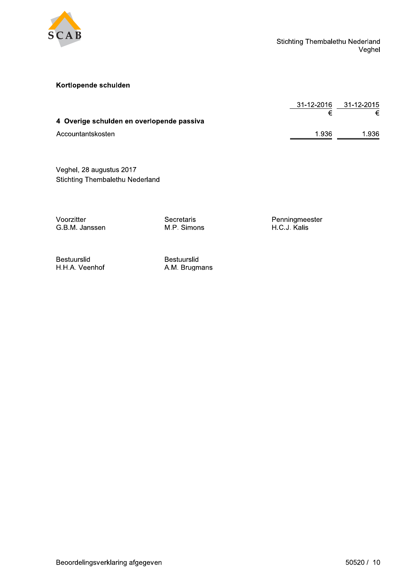

### Kortlopende schulden

|                                           | 31-12-2016 | 31-12-2015 |
|-------------------------------------------|------------|------------|
|                                           |            |            |
| 4 Overige schulden en overlopende passiva |            |            |
| Accountantskosten                         | 1.936      | 1.936      |

Veghel, 28 augustus 2017 Stichting Thembalethu Nederland

Voorzitter G.B.M. Janssen Secretaris M.P. Simons Penningmeester H.C.J. Kalis

Bestuurslid H.H.A. Veenhof

Bestuurslid A.M. Brugmans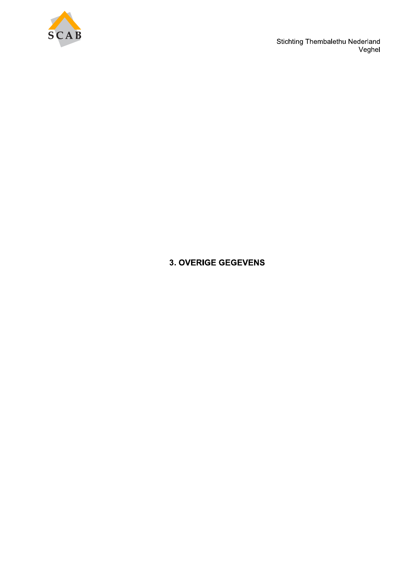

Stichting Thembalethu Nederland<br>Veghel

# **3. OVERIGE GEGEVENS**